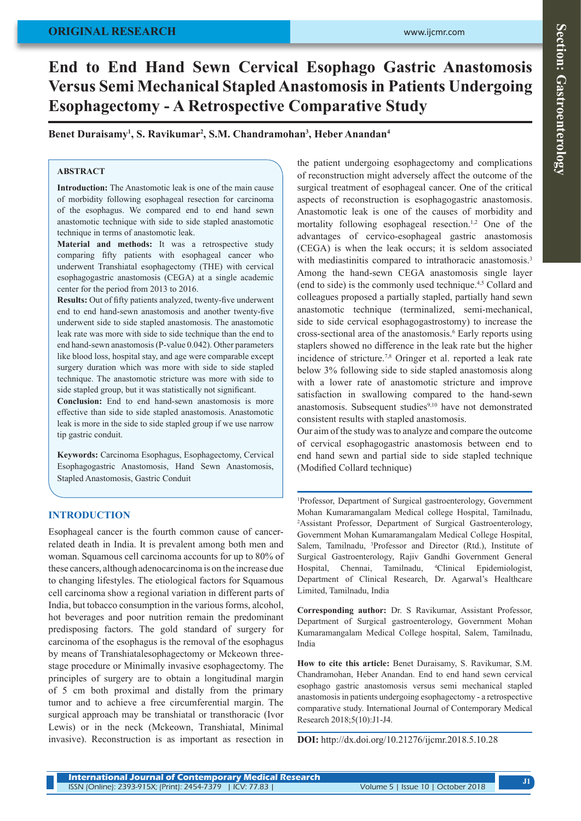### **ORIGINAL RESEARCH**

# Section: Gastroenterology **Section: Gastroenterology**

# **End to End Hand Sewn Cervical Esophago Gastric Anastomosis Versus Semi Mechanical Stapled Anastomosis in Patients Undergoing Esophagectomy - A Retrospective Comparative Study**

**Benet Duraisamy1 , S. Ravikumar2 , S.M. Chandramohan3 , Heber Anandan4**

#### **ABSTRACT**

**Introduction:** The Anastomotic leak is one of the main cause of morbidity following esophageal resection for carcinoma of the esophagus. We compared end to end hand sewn anastomotic technique with side to side stapled anastomotic technique in terms of anastomotic leak.

**Material and methods:** It was a retrospective study comparing fifty patients with esophageal cancer who underwent Transhiatal esophagectomy (THE) with cervical esophagogastric anastomosis (CEGA) at a single academic center for the period from 2013 to 2016.

**Results:** Out of fifty patients analyzed, twenty-five underwent end to end hand-sewn anastomosis and another twenty-five underwent side to side stapled anastomosis. The anastomotic leak rate was more with side to side technique than the end to end hand-sewn anastomosis (P-value 0.042). Other parameters like blood loss, hospital stay, and age were comparable except surgery duration which was more with side to side stapled technique. The anastomotic stricture was more with side to side stapled group, but it was statistically not significant.

**Conclusion:** End to end hand-sewn anastomosis is more effective than side to side stapled anastomosis. Anastomotic leak is more in the side to side stapled group if we use narrow tip gastric conduit.

**Keywords:** Carcinoma Esophagus, Esophagectomy, Cervical Esophagogastric Anastomosis, Hand Sewn Anastomosis, Stapled Anastomosis, Gastric Conduit

## **INTRODUCTION**

Esophageal cancer is the fourth common cause of cancerrelated death in India. It is prevalent among both men and woman. Squamous cell carcinoma accounts for up to 80% of these cancers, although adenocarcinoma is on the increase due to changing lifestyles. The etiological factors for Squamous cell carcinoma show a regional variation in different parts of India, but tobacco consumption in the various forms, alcohol, hot beverages and poor nutrition remain the predominant predisposing factors. The gold standard of surgery for carcinoma of the esophagus is the removal of the esophagus by means of Transhiatalesophagectomy or Mckeown threestage procedure or Minimally invasive esophagectomy. The principles of surgery are to obtain a longitudinal margin of 5 cm both proximal and distally from the primary tumor and to achieve a free circumferential margin. The surgical approach may be transhiatal or transthoracic (Ivor Lewis) or in the neck (Mckeown, Transhiatal, Minimal invasive). Reconstruction is as important as resection in

the patient undergoing esophagectomy and complications of reconstruction might adversely affect the outcome of the surgical treatment of esophageal cancer. One of the critical aspects of reconstruction is esophagogastric anastomosis. Anastomotic leak is one of the causes of morbidity and mortality following esophageal resection.<sup>1,2</sup> One of the advantages of cervico-esophageal gastric anastomosis (CEGA) is when the leak occurs; it is seldom associated with mediastinitis compared to intrathoracic anastomosis.<sup>3</sup> Among the hand-sewn CEGA anastomosis single layer (end to side) is the commonly used technique.4,5 Collard and colleagues proposed a partially stapled, partially hand sewn anastomotic technique (terminalized, semi-mechanical, side to side cervical esophagogastrostomy) to increase the cross-sectional area of the anastomosis.<sup>6</sup> Early reports using staplers showed no difference in the leak rate but the higher incidence of stricture.7,8 Oringer et al. reported a leak rate below 3% following side to side stapled anastomosis along with a lower rate of anastomotic stricture and improve satisfaction in swallowing compared to the hand-sewn anastomosis. Subsequent studies<sup>9,10</sup> have not demonstrated consistent results with stapled anastomosis.

Our aim of the study was to analyze and compare the outcome of cervical esophagogastric anastomosis between end to end hand sewn and partial side to side stapled technique (Modified Collard technique)

1 Professor, Department of Surgical gastroenterology, Government Mohan Kumaramangalam Medical college Hospital, Tamilnadu, 2 Assistant Professor, Department of Surgical Gastroenterology, Government Mohan Kumaramangalam Medical College Hospital, Salem, Tamilnadu, <sup>3</sup>Professor and Director (Rtd.), Institute of Surgical Gastroenterology, Rajiv Gandhi Government General Hospital, Chennai, Tamilnadu, 4 Clinical Epidemiologist, Department of Clinical Research, Dr. Agarwal's Healthcare Limited, Tamilnadu, India

**Corresponding author:** Dr. S Ravikumar, Assistant Professor, Department of Surgical gastroenterology, Government Mohan Kumaramangalam Medical College hospital, Salem, Tamilnadu, India

**How to cite this article:** Benet Duraisamy, S. Ravikumar, S.M. Chandramohan, Heber Anandan. End to end hand sewn cervical esophago gastric anastomosis versus semi mechanical stapled anastomosis in patients undergoing esophagectomy - a retrospective comparative study. International Journal of Contemporary Medical Research 2018;5(10):J1-J4.

**DOI:** http://dx.doi.org/10.21276/ijcmr.2018.5.10.28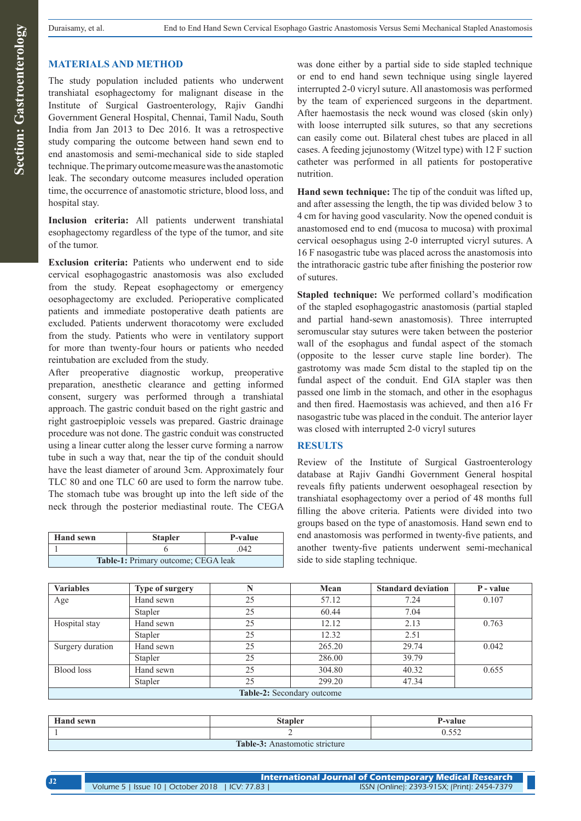#### **MATERIALS AND METHOD**

The study population included patients who underwent transhiatal esophagectomy for malignant disease in the Institute of Surgical Gastroenterology, Rajiv Gandhi Government General Hospital, Chennai, Tamil Nadu, South India from Jan 2013 to Dec 2016. It was a retrospective study comparing the outcome between hand sewn end to end anastomosis and semi-mechanical side to side stapled technique. The primary outcome measure was the anastomotic leak. The secondary outcome measures included operation time, the occurrence of anastomotic stricture, blood loss, and hospital stay.

**Inclusion criteria:** All patients underwent transhiatal esophagectomy regardless of the type of the tumor, and site of the tumor.

**Exclusion criteria:** Patients who underwent end to side cervical esophagogastric anastomosis was also excluded from the study. Repeat esophagectomy or emergency oesophagectomy are excluded. Perioperative complicated patients and immediate postoperative death patients are excluded. Patients underwent thoracotomy were excluded from the study. Patients who were in ventilatory support for more than twenty-four hours or patients who needed reintubation are excluded from the study.

After preoperative diagnostic workup, preoperative preparation, anesthetic clearance and getting informed consent, surgery was performed through a transhiatal approach. The gastric conduit based on the right gastric and right gastroepiploic vessels was prepared. Gastric drainage procedure was not done. The gastric conduit was constructed using a linear cutter along the lesser curve forming a narrow tube in such a way that, near the tip of the conduit should have the least diameter of around 3cm. Approximately four TLC 80 and one TLC 60 are used to form the narrow tube. The stomach tube was brought up into the left side of the neck through the posterior mediastinal route. The CEGA

| <b>Hand sewn</b>                           | <b>Stapler</b> | P-value |  |  |
|--------------------------------------------|----------------|---------|--|--|
|                                            |                | 042     |  |  |
| <b>Table-1:</b> Primary outcome; CEGA leak |                |         |  |  |

was done either by a partial side to side stapled technique or end to end hand sewn technique using single layered interrupted 2-0 vicryl suture. All anastomosis was performed by the team of experienced surgeons in the department. After haemostasis the neck wound was closed (skin only) with loose interrupted silk sutures, so that any secretions can easily come out. Bilateral chest tubes are placed in all cases. A feeding jejunostomy (Witzel type) with 12 F suction catheter was performed in all patients for postoperative nutrition.

**Hand sewn technique:** The tip of the conduit was lifted up, and after assessing the length, the tip was divided below 3 to 4 cm for having good vascularity. Now the opened conduit is anastomosed end to end (mucosa to mucosa) with proximal cervical oesophagus using 2-0 interrupted vicryl sutures. A 16 F nasogastric tube was placed across the anastomosis into the intrathoracic gastric tube after finishing the posterior row of sutures.

**Stapled technique:** We performed collard's modification of the stapled esophagogastric anastomosis (partial stapled and partial hand-sewn anastomosis). Three interrupted seromuscular stay sutures were taken between the posterior wall of the esophagus and fundal aspect of the stomach (opposite to the lesser curve staple line border). The gastrotomy was made 5cm distal to the stapled tip on the fundal aspect of the conduit. End GIA stapler was then passed one limb in the stomach, and other in the esophagus and then fired. Haemostasis was achieved, and then a16 Fr nasogastric tube was placed in the conduit. The anterior layer was closed with interrupted 2-0 vicryl sutures

#### **RESULTS**

Review of the Institute of Surgical Gastroenterology database at Rajiv Gandhi Government General hospital reveals fifty patients underwent oesophageal resection by transhiatal esophagectomy over a period of 48 months full filling the above criteria. Patients were divided into two groups based on the type of anastomosis. Hand sewn end to end anastomosis was performed in twenty-five patients, and another twenty-five patients underwent semi-mechanical side to side stapling technique.

| <b>Variables</b>           | <b>Type of surgery</b> |    | Mean   | <b>Standard deviation</b> | P - value |
|----------------------------|------------------------|----|--------|---------------------------|-----------|
| Age                        | Hand sewn              | 25 | 57.12  | 7.24                      | 0.107     |
|                            | Stapler                | 25 | 60.44  | 7.04                      |           |
| Hospital stay              | Hand sewn              | 25 | 12.12  | 2.13                      | 0.763     |
|                            | Stapler                | 25 | 12.32  | 2.51                      |           |
| Surgery duration           | Hand sewn              | 25 | 265.20 | 29.74                     | 0.042     |
|                            | Stapler                | 25 | 286.00 | 39.79                     |           |
| Blood loss                 | Hand sewn              | 25 | 304.80 | 40.32                     | 0.655     |
|                            | Stapler                | 25 | 299.20 | 47.34                     |           |
| Table-2: Secondary outcome |                        |    |        |                           |           |

| <b>Hand sewn</b>               | Stapler | <b>P-value</b>   |  |  |  |
|--------------------------------|---------|------------------|--|--|--|
|                                |         | $- - -$<br>∪.JJ∠ |  |  |  |
| Table-3: Anastomotic stricture |         |                  |  |  |  |

| <b>International Journal of Contemporary Medical Research</b> |  |                                              |
|---------------------------------------------------------------|--|----------------------------------------------|
| Volume 5   Issue 10   October 2018   ICV: 77.83               |  | ISSN (Online): 2393-915X; (Print): 2454-7379 |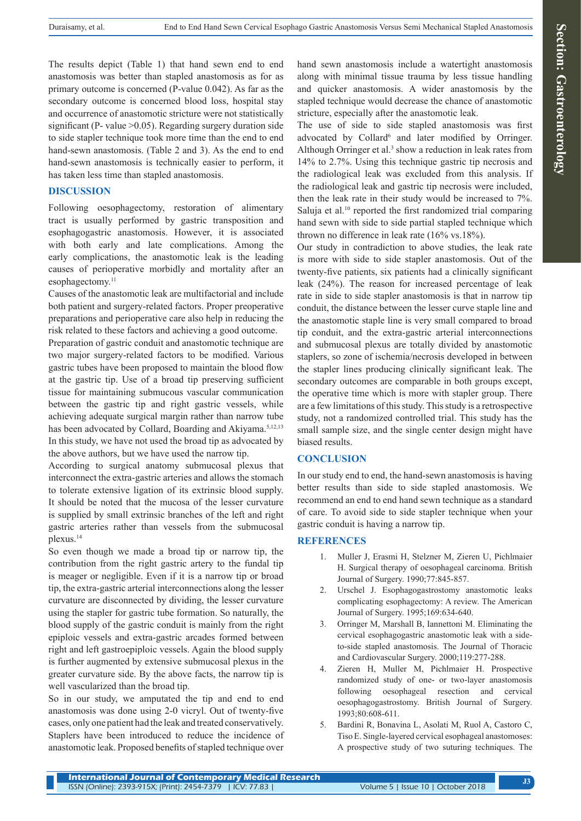The results depict (Table 1) that hand sewn end to end anastomosis was better than stapled anastomosis as for as primary outcome is concerned (P-value 0.042). As far as the secondary outcome is concerned blood loss, hospital stay and occurrence of anastomotic stricture were not statistically significant (P- value  $>0.05$ ). Regarding surgery duration side to side stapler technique took more time than the end to end hand-sewn anastomosis. (Table 2 and 3). As the end to end hand-sewn anastomosis is technically easier to perform, it has taken less time than stapled anastomosis.

#### **DISCUSSION**

Following oesophagectomy, restoration of alimentary tract is usually performed by gastric transposition and esophagogastric anastomosis. However, it is associated with both early and late complications. Among the early complications, the anastomotic leak is the leading causes of perioperative morbidly and mortality after an esophagectomy.<sup>11</sup>

Causes of the anastomotic leak are multifactorial and include both patient and surgery-related factors. Proper preoperative preparations and perioperative care also help in reducing the risk related to these factors and achieving a good outcome.

Preparation of gastric conduit and anastomotic technique are two major surgery-related factors to be modified. Various gastric tubes have been proposed to maintain the blood flow at the gastric tip. Use of a broad tip preserving sufficient tissue for maintaining submucous vascular communication between the gastric tip and right gastric vessels, while achieving adequate surgical margin rather than narrow tube has been advocated by Collard, Boarding and Akiyama.<sup>5,12,13</sup> In this study, we have not used the broad tip as advocated by the above authors, but we have used the narrow tip.

According to surgical anatomy submucosal plexus that interconnect the extra-gastric arteries and allows the stomach to tolerate extensive ligation of its extrinsic blood supply. It should be noted that the mucosa of the lesser curvature is supplied by small extrinsic branches of the left and right gastric arteries rather than vessels from the submucosal plexus.14

So even though we made a broad tip or narrow tip, the contribution from the right gastric artery to the fundal tip is meager or negligible. Even if it is a narrow tip or broad tip, the extra-gastric arterial interconnections along the lesser curvature are disconnected by dividing, the lesser curvature using the stapler for gastric tube formation. So naturally, the blood supply of the gastric conduit is mainly from the right epiploic vessels and extra-gastric arcades formed between right and left gastroepiploic vessels. Again the blood supply is further augmented by extensive submucosal plexus in the greater curvature side. By the above facts, the narrow tip is well vascularized than the broad tip.

So in our study, we amputated the tip and end to end anastomosis was done using 2-0 vicryl. Out of twenty-five cases, only one patient had the leak and treated conservatively. Staplers have been introduced to reduce the incidence of anastomotic leak. Proposed benefits of stapled technique over

hand sewn anastomosis include a watertight anastomosis along with minimal tissue trauma by less tissue handling and quicker anastomosis. A wider anastomosis by the stapled technique would decrease the chance of anastomotic stricture, especially after the anastomotic leak.

The use of side to side stapled anastomosis was first advocated by Collard<sup>6</sup> and later modified by Orringer. Although Orringer et al. $3$  show a reduction in leak rates from 14% to 2.7%. Using this technique gastric tip necrosis and the radiological leak was excluded from this analysis. If the radiological leak and gastric tip necrosis were included, then the leak rate in their study would be increased to 7%. Saluja et al.<sup>10</sup> reported the first randomized trial comparing hand sewn with side to side partial stapled technique which thrown no difference in leak rate (16% vs.18%).

Our study in contradiction to above studies, the leak rate is more with side to side stapler anastomosis. Out of the twenty-five patients, six patients had a clinically significant leak (24%). The reason for increased percentage of leak rate in side to side stapler anastomosis is that in narrow tip conduit, the distance between the lesser curve staple line and the anastomotic staple line is very small compared to broad tip conduit, and the extra-gastric arterial interconnections and submucosal plexus are totally divided by anastomotic staplers, so zone of ischemia/necrosis developed in between the stapler lines producing clinically significant leak. The secondary outcomes are comparable in both groups except, the operative time which is more with stapler group. There are a few limitations of this study. This study is a retrospective study, not a randomized controlled trial. This study has the small sample size, and the single center design might have biased results.

#### **CONCLUSION**

In our study end to end, the hand-sewn anastomosis is having better results than side to side stapled anastomosis. We recommend an end to end hand sewn technique as a standard of care. To avoid side to side stapler technique when your gastric conduit is having a narrow tip.

#### **REFERENCES**

- 1. Muller J, Erasmi H, Stelzner M, Zieren U, Pichlmaier H. Surgical therapy of oesophageal carcinoma. British Journal of Surgery. 1990;77:845-857.
- 2. Urschel J. Esophagogastrostomy anastomotic leaks complicating esophagectomy: A review. The American Journal of Surgery. 1995;169:634-640.
- 3. Orringer M, Marshall B, Iannettoni M. Eliminating the cervical esophagogastric anastomotic leak with a sideto-side stapled anastomosis. The Journal of Thoracic and Cardiovascular Surgery. 2000;119:277-288.
- 4. Zieren H, Muller M, Pichlmaier H. Prospective randomized study of one- or two-layer anastomosis following oesophageal resection and cervical oesophagogastrostomy. British Journal of Surgery. 1993;80:608-611.
- 5. Bardini R, Bonavina L, Asolati M, Ruol A, Castoro C, Tiso E. Single-layered cervical esophageal anastomoses: A prospective study of two suturing techniques. The